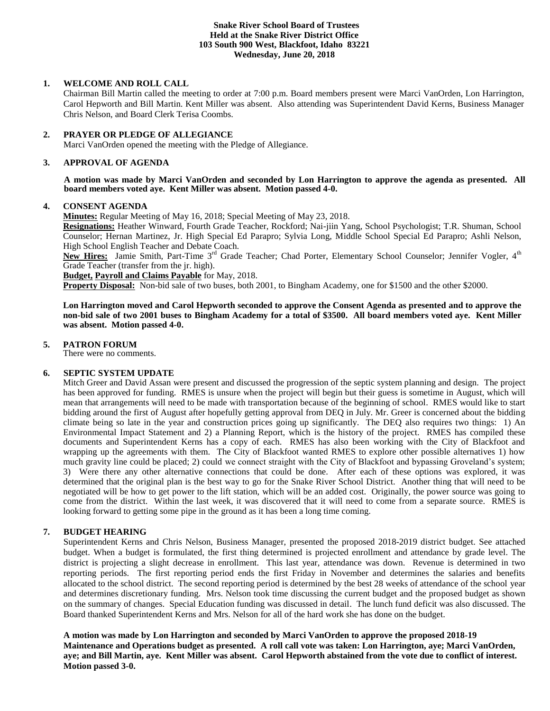### **Snake River School Board of Trustees Held at the Snake River District Office 103 South 900 West, Blackfoot, Idaho 83221 Wednesday, June 20, 2018**

# **1. WELCOME AND ROLL CALL**

Chairman Bill Martin called the meeting to order at 7:00 p.m. Board members present were Marci VanOrden, Lon Harrington, Carol Hepworth and Bill Martin. Kent Miller was absent. Also attending was Superintendent David Kerns, Business Manager Chris Nelson, and Board Clerk Terisa Coombs.

# **2. PRAYER OR PLEDGE OF ALLEGIANCE**

Marci VanOrden opened the meeting with the Pledge of Allegiance.

# **3. APPROVAL OF AGENDA**

**A motion was made by Marci VanOrden and seconded by Lon Harrington to approve the agenda as presented. All board members voted aye. Kent Miller was absent. Motion passed 4-0.**

# **4. CONSENT AGENDA**

**Minutes:** Regular Meeting of May 16, 2018; Special Meeting of May 23, 2018.

**Resignations:** Heather Winward, Fourth Grade Teacher, Rockford; Nai-jiin Yang, School Psychologist; T.R. Shuman, School Counselor; Hernan Martinez, Jr. High Special Ed Parapro; Sylvia Long, Middle School Special Ed Parapro; Ashli Nelson, High School English Teacher and Debate Coach.

New Hires: Jamie Smith, Part-Time 3<sup>rd</sup> Grade Teacher; Chad Porter, Elementary School Counselor; Jennifer Vogler, 4<sup>th</sup> Grade Teacher (transfer from the jr. high).

**Budget, Payroll and Claims Payable** for May, 2018.

**Property Disposal:** Non-bid sale of two buses, both 2001, to Bingham Academy, one for \$1500 and the other \$2000.

**Lon Harrington moved and Carol Hepworth seconded to approve the Consent Agenda as presented and to approve the non-bid sale of two 2001 buses to Bingham Academy for a total of \$3500. All board members voted aye. Kent Miller was absent. Motion passed 4-0.**

# **5. PATRON FORUM**

There were no comments.

# **6. SEPTIC SYSTEM UPDATE**

Mitch Greer and David Assan were present and discussed the progression of the septic system planning and design. The project has been approved for funding. RMES is unsure when the project will begin but their guess is sometime in August, which will mean that arrangements will need to be made with transportation because of the beginning of school. RMES would like to start bidding around the first of August after hopefully getting approval from DEQ in July. Mr. Greer is concerned about the bidding climate being so late in the year and construction prices going up significantly. The DEQ also requires two things: 1) An Environmental Impact Statement and 2) a Planning Report, which is the history of the project. RMES has compiled these documents and Superintendent Kerns has a copy of each. RMES has also been working with the City of Blackfoot and wrapping up the agreements with them. The City of Blackfoot wanted RMES to explore other possible alternatives 1) how much gravity line could be placed; 2) could we connect straight with the City of Blackfoot and bypassing Groveland's system; 3) Were there any other alternative connections that could be done. After each of these options was explored, it was determined that the original plan is the best way to go for the Snake River School District. Another thing that will need to be negotiated will be how to get power to the lift station, which will be an added cost. Originally, the power source was going to come from the district. Within the last week, it was discovered that it will need to come from a separate source. RMES is looking forward to getting some pipe in the ground as it has been a long time coming.

# **7. BUDGET HEARING**

Superintendent Kerns and Chris Nelson, Business Manager, presented the proposed 2018-2019 district budget. See attached budget. When a budget is formulated, the first thing determined is projected enrollment and attendance by grade level. The district is projecting a slight decrease in enrollment. This last year, attendance was down. Revenue is determined in two reporting periods. The first reporting period ends the first Friday in November and determines the salaries and benefits allocated to the school district. The second reporting period is determined by the best 28 weeks of attendance of the school year and determines discretionary funding. Mrs. Nelson took time discussing the current budget and the proposed budget as shown on the summary of changes. Special Education funding was discussed in detail. The lunch fund deficit was also discussed. The Board thanked Superintendent Kerns and Mrs. Nelson for all of the hard work she has done on the budget.

**A motion was made by Lon Harrington and seconded by Marci VanOrden to approve the proposed 2018-19 Maintenance and Operations budget as presented. A roll call vote was taken: Lon Harrington, aye; Marci VanOrden, aye; and Bill Martin, aye. Kent Miller was absent. Carol Hepworth abstained from the vote due to conflict of interest. Motion passed 3-0.**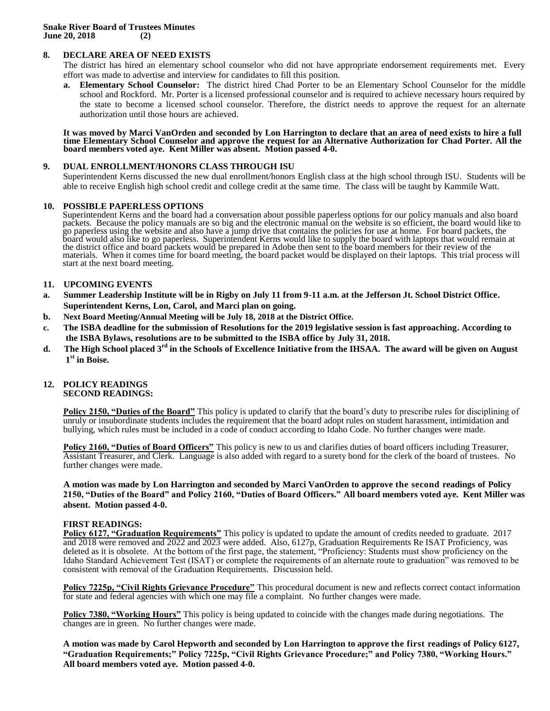# **8. DECLARE AREA OF NEED EXISTS**

The district has hired an elementary school counselor who did not have appropriate endorsement requirements met. Every effort was made to advertise and interview for candidates to fill this position.

**a. Elementary School Counselor:** The district hired Chad Porter to be an Elementary School Counselor for the middle school and Rockford. Mr. Porter is a licensed professional counselor and is required to achieve necessary hours required by the state to become a licensed school counselor. Therefore, the district needs to approve the request for an alternate authorization until those hours are achieved.

#### **It was moved by Marci VanOrden and seconded by Lon Harrington to declare that an area of need exists to hire a full time Elementary School Counselor and approve the request for an Alternative Authorization for Chad Porter. All the board members voted aye. Kent Miller was absent. Motion passed 4-0.**

### **9. DUAL ENROLLMENT/HONORS CLASS THROUGH ISU**

Superintendent Kerns discussed the new dual enrollment/honors English class at the high school through ISU. Students will be able to receive English high school credit and college credit at the same time. The class will be taught by Kammile Watt.

### **10. POSSIBLE PAPERLESS OPTIONS**

Superintendent Kerns and the board had a conversation about possible paperless options for our policy manuals and also board packets. Because the policy manuals are so big and the electronic manual on the website is so efficient, the board would like to go paperless using the website and also have a jump drive that contains the policies for use at home. For board packets, the board would also like to go paperless. Superintendent Kerns would like to supply the board with laptops that would remain at the district office and board packets would be prepared in Adobe then sent to the board members for their review of the materials. When it comes time for board meeting, the board packet would be displayed on their laptops. This trial process will start at the next board meeting.

### **11. UPCOMING EVENTS**

- **a. Summer Leadership Institute will be in Rigby on July 11 from 9-11 a.m. at the Jefferson Jt. School District Office. Superintendent Kerns, Lon, Carol, and Marci plan on going.**
- **b. Next Board Meeting/Annual Meeting will be July 18, 2018 at the District Office.**
- **c. The ISBA deadline for the submission of Resolutions for the 2019 legislative session is fast approaching. According to the ISBA Bylaws, resolutions are to be submitted to the ISBA office by July 31, 2018.**
- **d. The High School placed 3rd in the Schools of Excellence Initiative from the IHSAA. The award will be given on August 1 st in Boise.**

### **12. POLICY READINGS SECOND READINGS:**

**Policy 2150, "Duties of the Board"** This policy is updated to clarify that the board's duty to prescribe rules for disciplining of unruly or insubordinate students includes the requirement that the board adopt rules on student harassment, intimidation and bullying, which rules must be included in a code of conduct according to Idaho Code. No further changes were made.

**Policy 2160, "Duties of Board Officers"** This policy is new to us and clarifies duties of board officers including Treasurer, Assistant Treasurer, and Clerk. Language is also added with regard to a surety bond for the clerk of the board of trustees. No further changes were made.

**A motion was made by Lon Harrington and seconded by Marci VanOrden to approve the second readings of Policy 2150, "Duties of the Board" and Policy 2160, "Duties of Board Officers." All board members voted aye. Kent Miller was absent. Motion passed 4-0.**

#### **FIRST READINGS:**

**Policy 6127, "Graduation Requirements"** This policy is updated to update the amount of credits needed to graduate. 2017 and 2018 were removed and 2022 and 2023 were added. Also, 6127p, Graduation Requirements Re ISAT Proficiency, was deleted as it is obsolete. At the bottom of the first page, the statement, "Proficiency: Students must show proficiency on the Idaho Standard Achievement Test (ISAT) or complete the requirements of an alternate route to graduation" was removed to be consistent with removal of the Graduation Requirements. Discussion held.

**Policy 7225p, "Civil Rights Grievance Procedure"** This procedural document is new and reflects correct contact information for state and federal agencies with which one may file a complaint. No further changes were made.

**Policy 7380, "Working Hours"** This policy is being updated to coincide with the changes made during negotiations. The changes are in green. No further changes were made.

**A motion was made by Carol Hepworth and seconded by Lon Harrington to approve the first readings of Policy 6127, "Graduation Requirements;" Policy 7225p, "Civil Rights Grievance Procedure;" and Policy 7380, "Working Hours." All board members voted aye. Motion passed 4-0.**